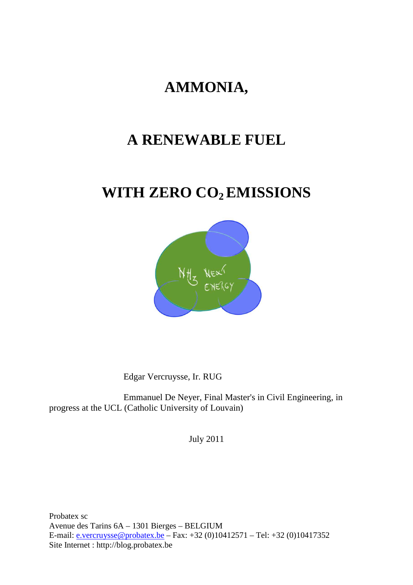# **AMMONIA,**

# **A RENEWABLE FUEL**

# **WITH ZERO CO2 EMISSIONS**



Edgar Vercruysse, Ir. RUG

 Emmanuel De Neyer, Final Master's in Civil Engineering, in progress at the UCL (Catholic University of Louvain)

July 2011

Probatex sc Avenue des Tarins 6A – 1301 Bierges – BELGIUM E-mail: e.vercruysse@probatex.be – Fax: +32 (0)10412571 – Tel: +32 (0)10417352 Site Internet : http://blog.probatex.be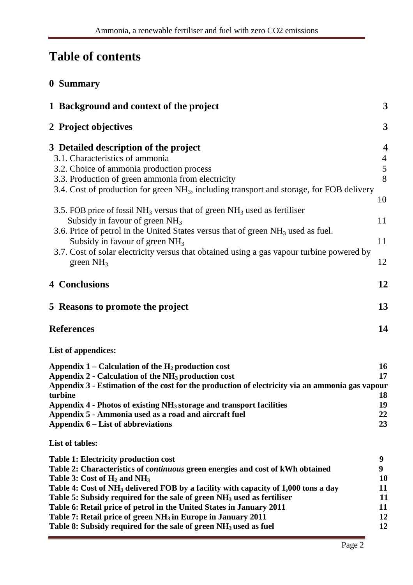# **Table of contents**

| 0 Summary                                                                                                                                                                                                                                                                                                                                                                                                                                                                                                                                                                                                               |                                                   |
|-------------------------------------------------------------------------------------------------------------------------------------------------------------------------------------------------------------------------------------------------------------------------------------------------------------------------------------------------------------------------------------------------------------------------------------------------------------------------------------------------------------------------------------------------------------------------------------------------------------------------|---------------------------------------------------|
| 1 Background and context of the project                                                                                                                                                                                                                                                                                                                                                                                                                                                                                                                                                                                 | $\mathbf{3}$                                      |
| 2 Project objectives                                                                                                                                                                                                                                                                                                                                                                                                                                                                                                                                                                                                    | 3                                                 |
| 3 Detailed description of the project<br>3.1. Characteristics of ammonia<br>3.2. Choice of ammonia production process<br>3.3. Production of green ammonia from electricity<br>3.4. Cost of production for green NH <sub>3</sub> , including transport and storage, for FOB delivery                                                                                                                                                                                                                                                                                                                                     | 4<br>$\frac{4}{5}$<br>8                           |
| 3.5. FOB price of fossil NH <sub>3</sub> versus that of green $NH_3$ used as fertiliser<br>Subsidy in favour of green $NH3$<br>3.6. Price of petrol in the United States versus that of green NH <sub>3</sub> used as fuel.<br>Subsidy in favour of green $NH3$<br>3.7. Cost of solar electricity versus that obtained using a gas vapour turbine powered by<br>green $NH3$                                                                                                                                                                                                                                             | 10<br>11<br>11<br>12                              |
| <b>4 Conclusions</b>                                                                                                                                                                                                                                                                                                                                                                                                                                                                                                                                                                                                    | 12                                                |
| 5 Reasons to promote the project                                                                                                                                                                                                                                                                                                                                                                                                                                                                                                                                                                                        | 13                                                |
| <b>References</b>                                                                                                                                                                                                                                                                                                                                                                                                                                                                                                                                                                                                       | 14                                                |
| List of appendices:                                                                                                                                                                                                                                                                                                                                                                                                                                                                                                                                                                                                     |                                                   |
| Appendix $1$ – Calculation of the $H_2$ production cost<br>Appendix 2 - Calculation of the NH <sub>3</sub> production cost<br>Appendix 3 - Estimation of the cost for the production of electricity via an ammonia gas vapour<br>turbine<br>Appendix 4 - Photos of existing NH <sub>3</sub> storage and transport facilities<br>Appendix 5 - Ammonia used as a road and aircraft fuel<br>Appendix 6 – List of abbreviations                                                                                                                                                                                             | 16<br>17<br>18<br>19<br>22<br>23                  |
| <b>List of tables:</b>                                                                                                                                                                                                                                                                                                                                                                                                                                                                                                                                                                                                  |                                                   |
| <b>Table 1: Electricity production cost</b><br>Table 2: Characteristics of <i>continuous</i> green energies and cost of kWh obtained<br>Table 3: Cost of H <sub>2</sub> and NH <sub>3</sub><br>Table 4: Cost of NH <sub>3</sub> delivered FOB by a facility with capacity of 1,000 tons a day<br>Table 5: Subsidy required for the sale of green NH <sub>3</sub> used as fertiliser<br>Table 6: Retail price of petrol in the United States in January 2011<br>Table 7: Retail price of green NH <sub>3</sub> in Europe in January 2011<br>Table 8: Subsidy required for the sale of green NH <sub>3</sub> used as fuel | 9<br>9<br><b>10</b><br>11<br>11<br>11<br>12<br>12 |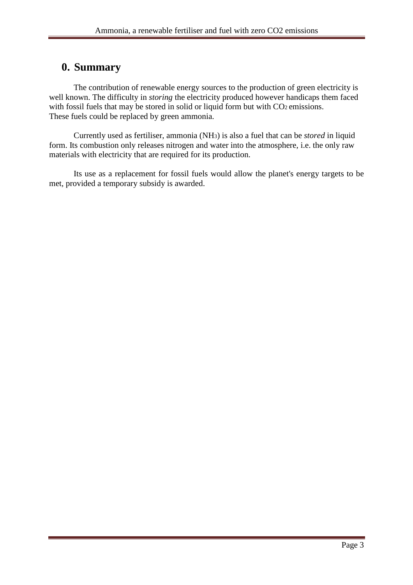## **0. Summary**

The contribution of renewable energy sources to the production of green electricity is well known. The difficulty in *storing* the electricity produced however handicaps them faced with fossil fuels that may be stored in solid or liquid form but with CO2 emissions. These fuels could be replaced by green ammonia.

Currently used as fertiliser, ammonia (NH3) is also a fuel that can be *stored* in liquid form. Its combustion only releases nitrogen and water into the atmosphere, i.e. the only raw materials with electricity that are required for its production.

Its use as a replacement for fossil fuels would allow the planet's energy targets to be met, provided a temporary subsidy is awarded.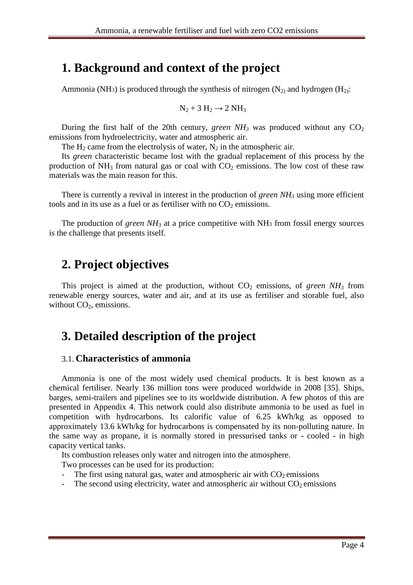## **1. Background and context of the project**

Ammonia (NH<sub>3</sub>) is produced through the synthesis of nitrogen (N<sub>2)</sub> and hydrogen (H<sub>2)</sub>:

$$
N_2 + 3 H_2 \rightarrow 2 NH_3
$$

During the first half of the 20th century, *green NH*<sub>3</sub> was produced without any  $CO<sub>2</sub>$ emissions from hydroelectricity, water and atmospheric air.

The  $H_2$  came from the electrolysis of water,  $N_2$  in the atmospheric air.

Its *green* characteristic became lost with the gradual replacement of this process by the production of  $NH_3$  from natural gas or coal with  $CO_2$  emissions. The low cost of these raw materials was the main reason for this.

There is currently a revival in interest in the production of *green NH<sup>3</sup>* using more efficient tools and in its use as a fuel or as fertiliser with no  $CO<sub>2</sub>$  emissions.

The production of *green NH3* at a price competitive with NH3 from fossil energy sources is the challenge that presents itself.

## **2. Project objectives**

This project is aimed at the production, without  $CO<sub>2</sub>$  emissions, of *green NH*<sub>3</sub> from renewable energy sources, water and air, and at its use as fertiliser and storable fuel, also without  $CO<sub>2</sub>$ , emissions.

## **3. Detailed description of the project**

#### 3.1. **Characteristics of ammonia**

Ammonia is one of the most widely used chemical products. It is best known as a chemical fertiliser. Nearly 136 million tons were produced worldwide in 2008 [35]. Ships, barges, semi-trailers and pipelines see to its worldwide distribution. A few photos of this are presented in Appendix 4. This network could also distribute ammonia to be used as fuel in competition with hydrocarbons. Its calorific value of 6.25 kWh/kg as opposed to approximately 13.6 kWh/kg for hydrocarbons is compensated by its non-polluting nature. In the same way as propane, it is normally stored in pressurised tanks or - cooled - in high capacity vertical tanks.

Its combustion releases only water and nitrogen into the atmosphere.

Two processes can be used for its production:

- The first using natural gas, water and atmospheric air with  $CO<sub>2</sub>$  emissions
- The second using electricity, water and atmospheric air without  $CO<sub>2</sub>$  emissions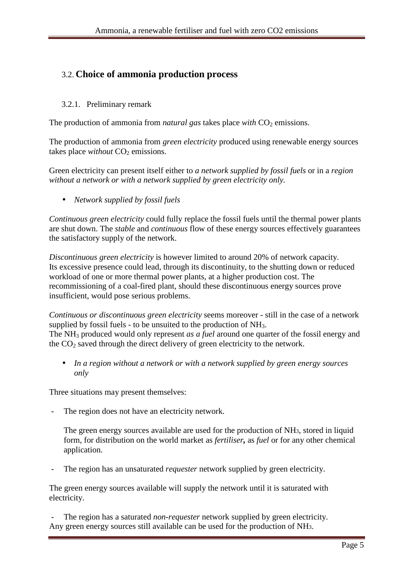## 3.2. **Choice of ammonia production process**

### 3.2.1. Preliminary remark

The production of ammonia from *natural gas* takes place *with* CO<sub>2</sub> emissions.

The production of ammonia from *green electricity* produced using renewable energy sources takes place *without* CO<sub>2</sub> emissions.

Green electricity can present itself either to *a network supplied by fossil fuels* or in a *region without a network or with a network supplied by green electricity only.* 

• *Network supplied by fossil fuels*

*Continuous green electricity* could fully replace the fossil fuels until the thermal power plants are shut down. The *stable* and *continuous* flow of these energy sources effectively guarantees the satisfactory supply of the network.

*Discontinuous green electricity* is however limited to around 20% of network capacity. Its excessive presence could lead, through its discontinuity, to the shutting down or reduced workload of one or more thermal power plants, at a higher production cost. The recommissioning of a coal-fired plant, should these discontinuous energy sources prove insufficient, would pose serious problems.

*Continuous or discontinuous green electricity* seems moreover - still in the case of a network supplied by fossil fuels - to be unsuited to the production of NH<sub>3</sub>. The NH3 produced would only represent *as a fuel* around one quarter of the fossil energy and the  $CO<sub>2</sub>$  saved through the direct delivery of green electricity to the network.

• *In a region without a network or with a network supplied by green energy sources only* 

Three situations may present themselves:

The region does not have an electricity network.

The green energy sources available are used for the production of NH3, stored in liquid form, for distribution on the world market as *fertiliser,* as *fuel* or for any other chemical application.

The region has an unsaturated *requester* network supplied by green electricity.

The green energy sources available will supply the network until it is saturated with electricity.

The region has a saturated *non-requester* network supplied by green electricity. Any green energy sources still available can be used for the production of NH3.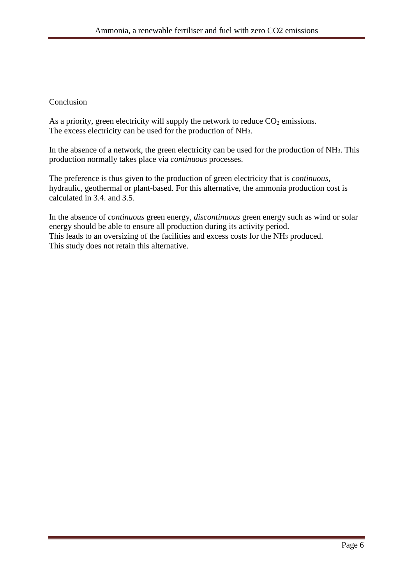#### Conclusion

As a priority, green electricity will supply the network to reduce  $CO<sub>2</sub>$  emissions. The excess electricity can be used for the production of NH3.

In the absence of a network, the green electricity can be used for the production of NH3. This production normally takes place via *continuous* processes.

The preference is thus given to the production of green electricity that is *continuous*, hydraulic, geothermal or plant-based. For this alternative, the ammonia production cost is calculated in 3.4. and 3.5.

In the absence of *continuous* green energy*, discontinuous* green energy such as wind or solar energy should be able to ensure all production during its activity period. This leads to an oversizing of the facilities and excess costs for the NH3 produced. This study does not retain this alternative.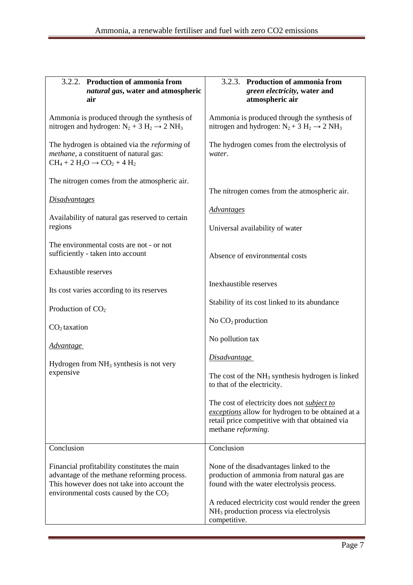| 3.2.2. Production of ammonia from<br>natural gas, water and atmospheric<br>air                                                                                                                      | 3.2.3. Production of ammonia from<br>green electricity, water and<br>atmospheric air                                                                                                                                                                                                                                                                                                                               |
|-----------------------------------------------------------------------------------------------------------------------------------------------------------------------------------------------------|--------------------------------------------------------------------------------------------------------------------------------------------------------------------------------------------------------------------------------------------------------------------------------------------------------------------------------------------------------------------------------------------------------------------|
| Ammonia is produced through the synthesis of<br>nitrogen and hydrogen: $N_2 + 3 H_2 \rightarrow 2 NH_3$                                                                                             | Ammonia is produced through the synthesis of<br>nitrogen and hydrogen: $N_2 + 3 H_2 \rightarrow 2 NH_3$                                                                                                                                                                                                                                                                                                            |
| The hydrogen is obtained via the <i>reforming</i> of<br>methane, a constituent of natural gas:<br>$CH_4 + 2 H_2O \rightarrow CO_2 + 4 H_2$                                                          | The hydrogen comes from the electrolysis of<br>water.                                                                                                                                                                                                                                                                                                                                                              |
| The nitrogen comes from the atmospheric air.<br><b>Disadvantages</b><br>Availability of natural gas reserved to certain<br>regions                                                                  | The nitrogen comes from the atmospheric air.<br><b>Advantages</b><br>Universal availability of water                                                                                                                                                                                                                                                                                                               |
| The environmental costs are not - or not<br>sufficiently - taken into account                                                                                                                       | Absence of environmental costs                                                                                                                                                                                                                                                                                                                                                                                     |
| <b>Exhaustible reserves</b><br>Its cost varies according to its reserves<br>Production of $CO2$<br>$CO2$ taxation<br><b>Advantage</b><br>Hydrogen from $NH3$ synthesis is not very<br>expensive     | Inexhaustible reserves<br>Stability of its cost linked to its abundance<br>No $CO2$ production<br>No pollution tax<br><i>Disadvantage</i><br>The cost of the $NH3$ synthesis hydrogen is linked<br>to that of the electricity.<br>The cost of electricity does not <i>subject to</i><br>exceptions allow for hydrogen to be obtained at a<br>retail price competitive with that obtained via<br>methane reforming. |
| Conclusion<br>Financial profitability constitutes the main<br>advantage of the methane reforming process.<br>This however does not take into account the<br>environmental costs caused by the $CO2$ | Conclusion<br>None of the disadvantages linked to the<br>production of ammonia from natural gas are<br>found with the water electrolysis process.<br>A reduced electricity cost would render the green<br>NH <sub>3</sub> production process via electrolysis<br>competitive.                                                                                                                                      |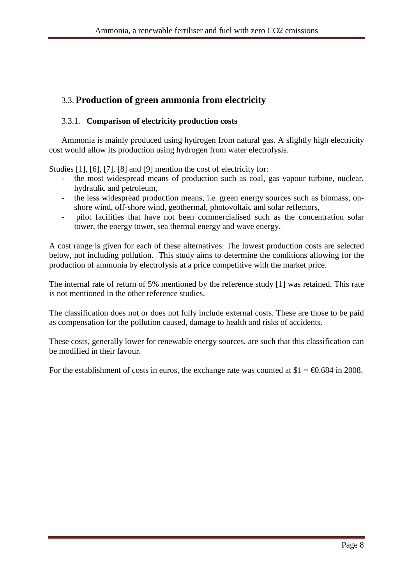## 3.3. **Production of green ammonia from electricity**

### 3.3.1. **Comparison of electricity production costs**

Ammonia is mainly produced using hydrogen from natural gas. A slightly high electricity cost would allow its production using hydrogen from water electrolysis.

Studies [1], [6], [7], [8] and [9] mention the cost of electricity for:

- the most widespread means of production such as coal, gas vapour turbine, nuclear, hydraulic and petroleum,
- the less widespread production means, i.e. green energy sources such as biomass, onshore wind, off-shore wind, geothermal, photovoltaic and solar reflectors,
- pilot facilities that have not been commercialised such as the concentration solar tower, the energy tower, sea thermal energy and wave energy.

A cost range is given for each of these alternatives. The lowest production costs are selected below, not including pollution. This study aims to determine the conditions allowing for the production of ammonia by electrolysis at a price competitive with the market price.

The internal rate of return of 5% mentioned by the reference study [1] was retained. This rate is not mentioned in the other reference studies.

The classification does not or does not fully include external costs. These are those to be paid as compensation for the pollution caused, damage to health and risks of accidents.

These costs, generally lower for renewable energy sources, are such that this classification can be modified in their favour.

For the establishment of costs in euros, the exchange rate was counted at  $$1 = \text{\textsterling}0.684$  in 2008.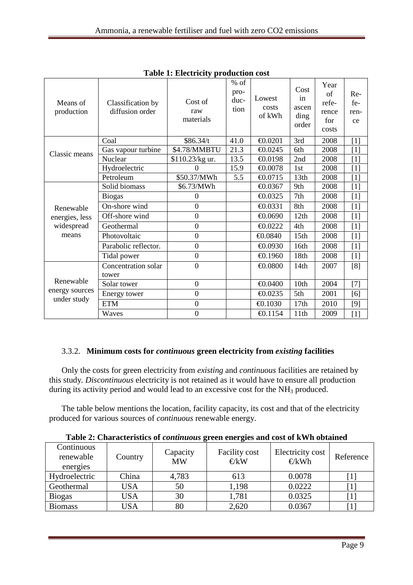| Means of<br>production | Classification by<br>diffusion order | Cost of<br>raw<br>materials | $%$ of<br>pro-<br>duc-<br>tion | Lowest<br>costs<br>of kWh | Cost<br>in<br>ascen<br>ding<br>order | Year<br>of<br>refe-<br>rence<br>for<br>costs | Re-<br>fe-<br>ren-<br>ce |
|------------------------|--------------------------------------|-----------------------------|--------------------------------|---------------------------|--------------------------------------|----------------------------------------------|--------------------------|
|                        | Coal                                 | \$86.34/t                   | 41.0                           | €0.0201                   | 3rd                                  | 2008                                         | $[1]$                    |
| Classic means          | Gas vapour turbine                   | \$4.78/MMBTU                | 21.3                           | €0.0245                   | 6th                                  | 2008                                         | [1]                      |
|                        | Nuclear                              | \$110.23/kg ur.             | 13.5                           | €0.0198                   | 2nd                                  | 2008                                         | $[1]$                    |
|                        | Hydroelectric                        | 0                           | 15.9                           | €0.0078                   | 1st                                  | 2008                                         | $[1]$                    |
|                        | Petroleum                            | \$50.37/MWh                 | 5.5                            | €0.0715                   | 13th                                 | 2008                                         | $[1]$                    |
|                        | Solid biomass                        | \$6.73/MWh                  |                                | €0.0367                   | 9th                                  | 2008                                         | $[1]$                    |
|                        | <b>Biogas</b>                        | $\mathbf{0}$                |                                | €0.0325                   | 7th                                  | 2008                                         | $[1]$                    |
| Renewable              | On-shore wind                        | $\overline{0}$              |                                | €0.0331                   | 8th                                  | 2008                                         | $[1]$                    |
| energies, less         | Off-shore wind                       | $\overline{0}$              |                                | €0.0690                   | 12th                                 | 2008                                         | $[1]$                    |
| widespread             | Geothermal                           | $\overline{0}$              |                                | €0.0222                   | 4th                                  | 2008                                         | $[1]$                    |
| means                  | Photovoltaic                         | $\boldsymbol{0}$            |                                | €0.0840                   | 15th                                 | 2008                                         | $[1]$                    |
|                        | Parabolic reflector.                 | $\overline{0}$              |                                | €0.0930                   | 16th                                 | 2008                                         | $[1]$                    |
|                        | Tidal power                          | $\boldsymbol{0}$            |                                | €0.1960                   | 18th                                 | 2008                                         | $[1]$                    |
|                        | Concentration solar                  | $\overline{0}$              |                                | €0.0800                   | 14th                                 | 2007                                         | [8]                      |
|                        | tower                                |                             |                                |                           |                                      |                                              |                          |
| Renewable              | Solar tower                          | $\overline{0}$              |                                | €0.0400                   | 10th                                 | 2004                                         | $[7]$                    |
| energy sources         | Energy tower                         | $\mathbf{0}$                |                                | €0.0235                   | 5th                                  | 2001                                         | [6]                      |
| under study            | <b>ETM</b>                           | $\boldsymbol{0}$            |                                | €0.1030                   | 17th                                 | 2010                                         | $[9]$                    |
|                        | Waves                                | $\boldsymbol{0}$            |                                | €0.1154                   | 11th                                 | 2009                                         | $[1]$                    |

**Table 1: Electricity production cost** 

### 3.3.2. **Minimum costs for** *continuous* **green electricity from** *existing* **facilities**

Only the costs for green electricity from *existing* and *continuous* facilities are retained by this study*. Discontinuous* electricity is not retained as it would have to ensure all production during its activity period and would lead to an excessive cost for the  $NH<sub>3</sub>$  produced.

The table below mentions the location, facility capacity, its cost and that of the electricity produced for various sources of *continuous* renewable energy.

**Table 2: Characteristics of** *continuous* **green energies and cost of kWh obtained** 

| Continuous<br>renewable<br>energies | Country | Capacity<br><b>MW</b> | <b>Facility cost</b><br>$\in$ /kW | Electricity cost<br>€/kWh | Reference |
|-------------------------------------|---------|-----------------------|-----------------------------------|---------------------------|-----------|
| Hydroelectric                       | China   | 4,783                 | 613                               | 0.0078                    |           |
| Geothermal                          | USA     | 50                    | 1,198                             | 0.0222                    |           |
| <b>Biogas</b>                       | USA     | 30                    | 1,781                             | 0.0325                    |           |
| <b>Biomass</b>                      | USA     | 80                    | 2,620                             | 0.0367                    |           |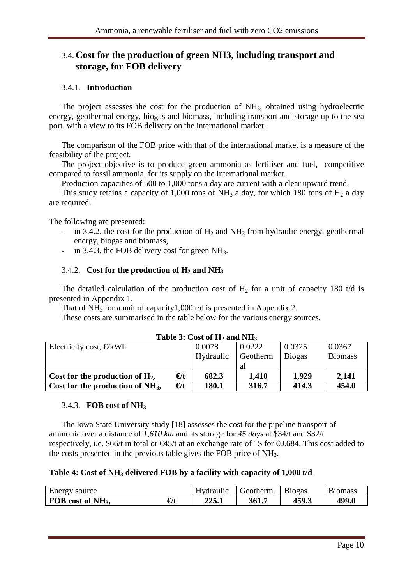### 3.4. **Cost for the production of green NH3, including transport and storage, for FOB delivery**

#### 3.4.1. **Introduction**

The project assesses the cost for the production of NH<sub>3</sub>, obtained using hydroelectric energy, geothermal energy, biogas and biomass, including transport and storage up to the sea port, with a view to its FOB delivery on the international market.

The comparison of the FOB price with that of the international market is a measure of the feasibility of the project.

The project objective is to produce green ammonia as fertiliser and fuel, competitive compared to fossil ammonia, for its supply on the international market.

Production capacities of 500 to 1,000 tons a day are current with a clear upward trend.

This study retains a capacity of 1,000 tons of NH<sub>3</sub> a day, for which 180 tons of H<sub>2</sub> a day are required.

The following are presented:

- in 3.4.2. the cost for the production of  $H_2$  and  $NH_3$  from hydraulic energy, geothermal energy, biogas and biomass,
- in 3.4.3. the FOB delivery cost for green  $NH<sub>3</sub>$ .

#### 3.4.2. **Cost for the production of H2 and NH<sup>3</sup>**

The detailed calculation of the production cost of  $H_2$  for a unit of capacity 180 t/d is presented in Appendix 1.

That of  $NH<sub>3</sub>$  for a unit of capacity1,000 t/d is presented in Appendix 2.

These costs are summarised in the table below for the various energy sources.

| Table 9: Cost of H <sub>2</sub> and Full |              |           |          |               |                |  |
|------------------------------------------|--------------|-----------|----------|---------------|----------------|--|
| Electricity cost, $\epsilon/kWh$         |              | 0.0078    | 0.0222   | 0.0325        | 0.0367         |  |
|                                          |              | Hydraulic | Geotherm | <b>Biogas</b> | <b>Biomass</b> |  |
|                                          |              |           | al       |               |                |  |
| Cost for the production of $H_2$ ,       | $\epsilon/t$ | 682.3     | 1,410    | 1.929         | 2,141          |  |
| Cost for the production of $NH_3$ ,      | $\epsilon/t$ | 180.1     | 316.7    | 414.3         | 454.0          |  |

#### **Table 3: Cost of H2 and NH<sup>3</sup>**

#### 3.4.3. **FOB cost of NH<sup>3</sup>**

The Iowa State University study [18] assesses the cost for the pipeline transport of ammonia over a distance of *1,610 km* and its storage for *45 days* at \$34/t and \$32/t respectively, i.e. \$66/t in total or  $\epsilon$ 45/t at an exchange rate of 1\$ for  $\epsilon$ 0.684. This cost added to the costs presented in the previous table gives the FOB price of NH3.

#### **Table 4: Cost of NH3 delivered FOB by a facility with capacity of 1,000 t/d**

| Energy source                 |     | Hydraulic | ' feotherm. | Biogas | B10mass |
|-------------------------------|-----|-----------|-------------|--------|---------|
| FOB cost of NH <sub>3</sub> , | €/t | 225.      | 361.        | 459.3  | 499.0   |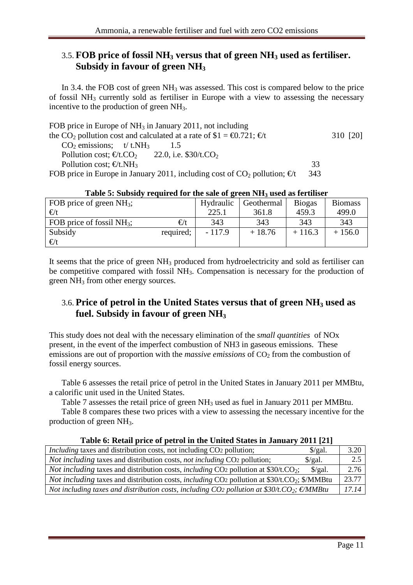### 3.5. **FOB price of fossil NH3 versus that of green NH3 used as fertiliser. Subsidy in favour of green NH<sup>3</sup>**

In 3.4. the FOB cost of green  $NH_3$  was assessed. This cost is compared below to the price of fossil  $NH_3$  currently sold as fertiliser in Europe with a view to assessing the necessary incentive to the production of green NH<sub>3</sub>.

| FOB price in Europe of $NH_3$ in January 2011, not including                                                               |     |          |
|----------------------------------------------------------------------------------------------------------------------------|-----|----------|
| the CO <sub>2</sub> pollution cost and calculated at a rate of $$1 = \text{\textsterling}0721$ ; $\text{\textsterling}$ /t |     | 310 [20] |
| $CO2$ emissions; t/t.NH <sub>3</sub>                                                                                       |     |          |
| Pollution cost; $\epsilon/t$ .CO 22.0, i.e. \$30/t.CO <sub>2</sub>                                                         |     |          |
| Pollution cost; $\epsilon/t.NH$                                                                                            | 33  |          |
| FOB price in Europe in January 2011, including cost of $CO_2$ pollution; $\epsilon/t$                                      | 343 |          |

| FOB price of green $NH_3$ ;  |              | Hydraulic | Geothermal | <b>Biogas</b> | <b>Biomass</b> |
|------------------------------|--------------|-----------|------------|---------------|----------------|
| $\epsilon/t$                 |              | 225.1     | 361.8      | 459.3         | 499.0          |
| FOB price of fossil $NH_3$ ; | $\epsilon/t$ | 343       | 343        | 343           | 343            |
| Subsidy                      | required;    | $-117.9$  | $+18.76$   | $+116.3$      | $+156.0$       |
| $\epsilon/t$                 |              |           |            |               |                |

### **Table 5: Subsidy required for the sale of green NH3 used as fertiliser**

It seems that the price of green  $NH<sub>3</sub>$  produced from hydroelectricity and sold as fertiliser can be competitive compared with fossil NH<sub>3</sub>. Compensation is necessary for the production of green NH<sub>3</sub> from other energy sources.

### 3.6. **Price of petrol in the United States versus that of green NH3 used as fuel. Subsidy in favour of green NH<sup>3</sup>**

This study does not deal with the necessary elimination of the *small quantities* of NOx present, in the event of the imperfect combustion of NH3 in gaseous emissions. These emissions are out of proportion with the *massive emissions* of CO<sub>2</sub> from the combustion of fossil energy sources.

Table 6 assesses the retail price of petrol in the United States in January 2011 per MMBtu, a calorific unit used in the United States.

Table 7 assesses the retail price of green NH<sub>3</sub> used as fuel in January 2011 per MMBtu.

Table 8 compares these two prices with a view to assessing the necessary incentive for the production of green NH3.

| Table 6: Retail price of petrol in the United States in January 2011 [21]                                                     |                    |
|-------------------------------------------------------------------------------------------------------------------------------|--------------------|
| <i>Including</i> taxes and distribution costs, not including CO2 pollution;<br>$\frac{\sqrt{2}}{2}$                           | 3.20               |
| <i>Not including taxes and distribution costs, not including CO<sub>2</sub> pollution;</i><br>$\frac{\log a}{a}$ .            | 2.5                |
| <i>Not including taxes and distribution costs, including CO2 pollution at \$30/t.CO<sub>2</sub>;</i><br>$\frac{\sqrt{2}}{2}$  | 2.76               |
| <i>Not including taxes and distribution costs, including CO<sub>2</sub> pollution at \$30/t.CO<sub>2</sub>; \$/MMBtu</i>      | $\overline{23.77}$ |
| Not including taxes and distribution costs, including CO <sub>2</sub> pollution at \$30/t.CO <sub>2</sub> ; $\epsilon$ /MMBtu | 17.14              |

### **Table 6: Retail price of petrol in the United States in January 2011 [21]**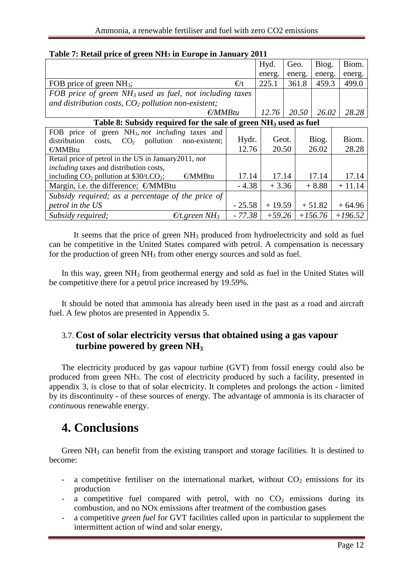|                                                                              |              | Hyd.     | Geo.   | Biog.     | Biom.     |
|------------------------------------------------------------------------------|--------------|----------|--------|-----------|-----------|
|                                                                              |              | energ.   | energ. | energ.    | energ.    |
| FOB price of green $NH_3$ ;                                                  | $\epsilon/t$ | 225.1    | 361.8  | 459.3     | 499.0     |
| FOB price of green NH <sub>3</sub> used as fuel, not including taxes         |              |          |        |           |           |
| and distribution costs, $CO2$ pollution non-existent;                        |              |          |        |           |           |
| $\epsilon$ / <i>MMBtu</i>                                                    |              | 12.76    | 20.50  | 26.02     | 28.28     |
| Table 8: Subsidy required for the sale of green NH <sub>3</sub> used as fuel |              |          |        |           |           |
| FOB price of green NH <sub>3</sub> , not including taxes and                 |              |          |        |           |           |
| distribution<br>pollution<br>CO <sub>2</sub><br>non-existent;<br>costs,      | Hydr.        | Geot.    |        | Biog.     | Biom.     |
| €/MMBtu                                                                      | 12.76        | 20.50    |        | 26.02     | 28.28     |
| Retail price of petrol in the US in January 2011, not                        |              |          |        |           |           |
| <i>including</i> taxes and distribution costs,                               |              |          |        |           |           |
| €/MMBtu<br>including $CO_2$ pollution at \$30/t.CO <sub>2</sub> ;            | 17.14        | 17.14    |        | 17.14     | 17.14     |
| Margin, i.e. the difference; $\epsilon/MM$ Btu                               | $-4.38$      | $+3.36$  |        | $+8.88$   | $+11.14$  |
| Subsidy required; as a percentage of the price of                            |              |          |        |           |           |
| petrol in the US                                                             | $-25.58$     | $+19.59$ |        | $+51.82$  | $+64.96$  |
| Subsidy required;<br>$\epsilon$ /t.green NH <sub>3</sub>                     | $-77.38$     | $+59.26$ |        | $+156.76$ | $+196.52$ |

### **Table 7: Retail price of green NH3 in Europe in January 2011**

It seems that the price of green NH<sub>3</sub> produced from hydroelectricity and sold as fuel can be competitive in the United States compared with petrol. A compensation is necessary for the production of green  $NH<sub>3</sub>$  from other energy sources and sold as fuel.

In this way, green NH<sub>3</sub> from geothermal energy and sold as fuel in the United States will be competitive there for a petrol price increased by 19.59%.

It should be noted that ammonia has already been used in the past as a road and aircraft fuel. A few photos are presented in Appendix 5.

### 3.7. **Cost of solar electricity versus that obtained using a gas vapour turbine powered by green NH<sup>3</sup>**

The electricity produced by gas vapour turbine (GVT) from fossil energy could also be produced from green NH3. The cost of electricity produced by such a facility, presented in appendix 3, is close to that of solar electricity. It completes and prolongs the action - limited by its discontinuity - of these sources of energy. The advantage of ammonia is its character of *continu*ous renewable energy.

## **4. Conclusions**

Green  $NH<sub>3</sub>$  can benefit from the existing transport and storage facilities. It is destined to become:

- a competitive fertiliser on the international market, without  $CO<sub>2</sub>$  emissions for its production
- a competitive fuel compared with petrol, with no  $CO<sub>2</sub>$  emissions during its combustion, and no NOx emissions after treatment of the combustion gases
- a competitive *green fuel* for GVT facilities called upon in particular to supplement the intermittent action of wind and solar energy,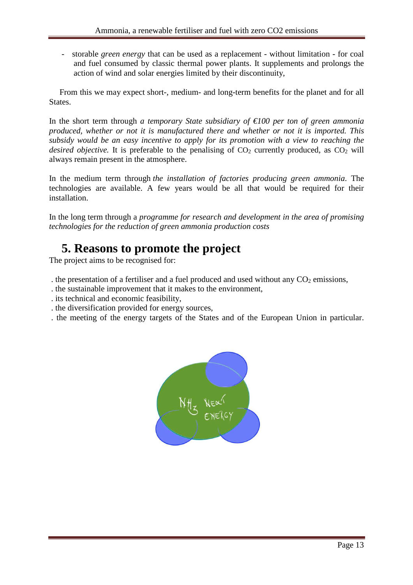- storable *green energy* that can be used as a replacement - without limitation - for coal and fuel consumed by classic thermal power plants. It supplements and prolongs the action of wind and solar energies limited by their discontinuity,

 From this we may expect short-, medium- and long-term benefits for the planet and for all States.

In the short term through *a temporary State subsidiary of €100 per ton of green ammonia produced, whether or not it is manufactured there and whether or not it is imported. This subsidy would be an easy incentive to apply for its promotion with a view to reaching the desired objective.* It is preferable to the penalising of  $CO<sub>2</sub>$  currently produced, as  $CO<sub>2</sub>$  will always remain present in the atmosphere.

In the medium term through *the installation of factories producing green ammonia*. The technologies are available. A few years would be all that would be required for their installation.

In the long term through a *programme for research and development in the area of promising technologies for the reduction of green ammonia production costs* 

## **5. Reasons to promote the project**

The project aims to be recognised for:

- . the presentation of a fertiliser and a fuel produced and used without any  $CO<sub>2</sub>$  emissions,
- . the sustainable improvement that it makes to the environment,
- . its technical and economic feasibility,
- . the diversification provided for energy sources,
- . the meeting of the energy targets of the States and of the European Union in particular.

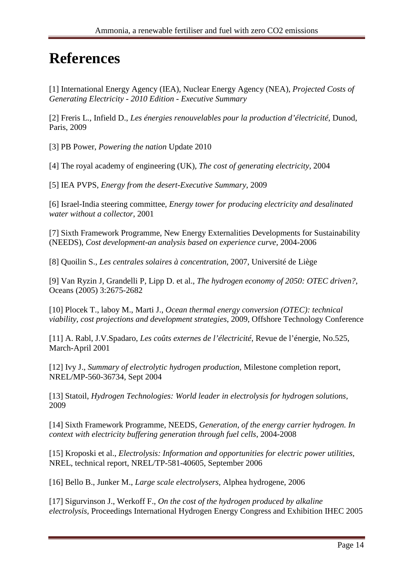# **References**

[1] International Energy Agency (IEA), Nuclear Energy Agency (NEA)*, Projected Costs of Generating Electricity - 2010 Edition* - *Executive Summary*

[2] Freris L., Infield D., *Les énergies renouvelables pour la production d'électricité*, Dunod, Paris, 2009

[3] PB Power, *Powering the nation* Update 2010

[4] The royal academy of engineering (UK), *The cost of generating electricity*, 2004

[5] IEA PVPS, *Energy from the desert-Executive Summary*, 2009

[6] Israel-India steering committee, *Energy tower for producing electricity and desalinated water without a collector*, 2001

[7] Sixth Framework Programme, New Energy Externalities Developments for Sustainability (NEEDS), *Cost development-an analysis based on experience curve,* 2004-2006

[8] Quoilin S., *Les centrales solaires à concentration*, 2007, Université de Liège

[9] Van Ryzin J, Grandelli P, Lipp D. et al., *The hydrogen economy of 2050: OTEC driven?*, Oceans (2005) 3:2675-2682

[10] Plocek T., laboy M., Marti J., *Ocean thermal energy conversion (OTEC): technical viability, cost projections and development strategies*, 2009, Offshore Technology Conference

[11] A. Rabl, J.V.Spadaro, *Les coûts externes de l'électricité*, Revue de l'énergie, No.525, March-April 2001

[12] Ivy J., *Summary of electrolytic hydrogen production,* Milestone completion report, NREL/MP-560-36734, Sept 2004

[13] Statoil, *Hydrogen Technologies: World leader in electrolysis for hydrogen solutions,* 2009

[14] Sixth Framework Programme, NEEDS, *Generation, of the energy carrier hydrogen. In context with electricity buffering generation through fuel cells*, 2004-2008

[15] Kroposki et al., *Electrolysis: Information and opportunities for electric power utilities,*  NREL, technical report, NREL/TP-581-40605, September 2006

[16] Bello B., Junker M., *Large scale electrolysers,* Alphea hydrogene, 2006

[17] Sigurvinson J., Werkoff F., *On the cost of the hydrogen produced by alkaline electrolysis,* Proceedings International Hydrogen Energy Congress and Exhibition IHEC 2005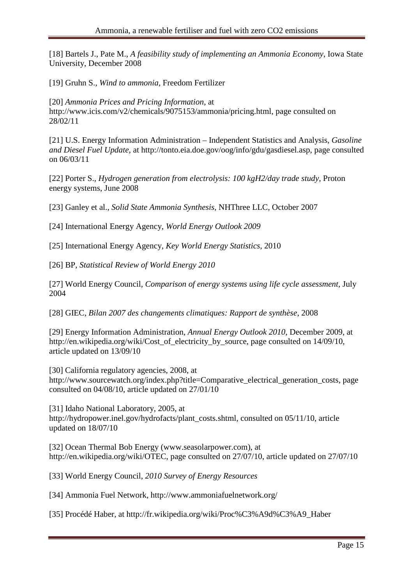[18] Bartels J., Pate M., *A feasibility study of implementing an Ammonia Economy*, Iowa State University, December 2008

[19] Gruhn S., *Wind to ammonia,* Freedom Fertilizer

[20] *Ammonia Prices and Pricing Information*, at http://www.icis.com/v2/chemicals/9075153/ammonia/pricing.html, page consulted on 28/02/11

[21] U.S. Energy Information Administration – Independent Statistics and Analysis, *Gasoline and Diesel Fuel Update*, at http://tonto.eia.doe.gov/oog/info/gdu/gasdiesel.asp, page consulted on 06/03/11

[22] Porter S., *Hydrogen generation from electrolysis: 100 kgH2/day trade study,* Proton energy systems, June 2008

[23] Ganley et al., *Solid State Ammonia Synthesis,* NHThree LLC, October 2007

[24] International Energy Agency, *World Energy Outlook 2009* 

[25] International Energy Agency, *Key World Energy Statistics*, 2010

[26] BP, *Statistical Review of World Energy 2010* 

[27] World Energy Council, *Comparison of energy systems using life cycle assessment*, July 2004

[28] GIEC, *Bilan 2007 des changements climatiques: Rapport de synthèse*, 2008

[29] Energy Information Administration, *Annual Energy Outlook 2010*, December 2009, at http://en.wikipedia.org/wiki/Cost\_of\_electricity\_by\_source, page consulted on 14/09/10, article updated on 13/09/10

[30] California regulatory agencies, 2008, at http://www.sourcewatch.org/index.php?title=Comparative electrical generation costs, page consulted on 04/08/10, article updated on 27/01/10

[31] Idaho National Laboratory, 2005, at http://hydropower.inel.gov/hydrofacts/plant\_costs.shtml, consulted on 05/11/10, article updated on 18/07/10

[32] Ocean Thermal Bob Energy (www.seasolarpower.com), at http://en.wikipedia.org/wiki/OTEC, page consulted on 27/07/10, article updated on 27/07/10

[33] World Energy Council, *2010 Survey of Energy Resources*

[34] Ammonia Fuel Network, http://www.ammoniafuelnetwork.org/

[35] Procédé Haber, at http://fr.wikipedia.org/wiki/Proc%C3%A9d%C3%A9\_Haber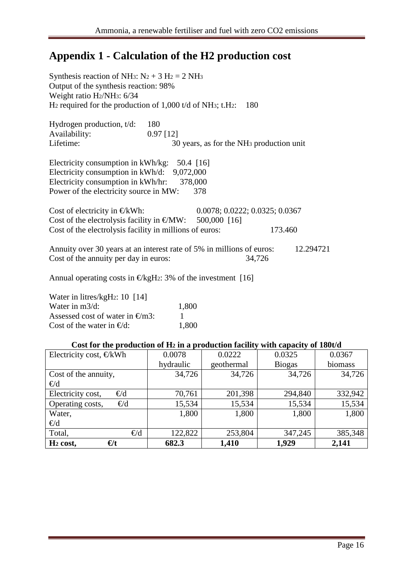## **Appendix 1 - Calculation of the H2 production cost**

| Synthesis reaction of NH <sub>3</sub> : $N_2 + 3 H_2 = 2 NH_3$<br>Output of the synthesis reaction: 98%<br>Weight ratio H <sub>2</sub> /NH <sub>3</sub> : 6/34<br>$H_2$ required for the production of 1,000 t/d of NH <sub>3</sub> ; t.H <sub>2</sub> : | 180                                                                                                 |         |           |
|----------------------------------------------------------------------------------------------------------------------------------------------------------------------------------------------------------------------------------------------------------|-----------------------------------------------------------------------------------------------------|---------|-----------|
| Hydrogen production, $t/d$ :<br>Availability:<br>Lifetime:                                                                                                                                                                                               | 180<br>$0.97$ [12]<br>30 years, as for the NH <sub>3</sub> production unit                          |         |           |
| Electricity consumption in kWh/kg: 50.4 [16]<br>Electricity consumption in $kWh/d$ : 9,072,000<br>Electricity consumption in kWh/hr:<br>Power of the electricity source in MW:                                                                           | 378,000<br>378                                                                                      |         |           |
| Cost of electricity in $\in$ /kWh:<br>Cost of the electrolysis facility in millions of euros:                                                                                                                                                            | 0.0078; 0.0222; 0.0325; 0.0367<br>Cost of the electrolysis facility in $\epsilon/MW$ : 500,000 [16] | 173.460 |           |
| Cost of the annuity per day in euros:                                                                                                                                                                                                                    | Annuity over 30 years at an interest rate of 5% in millions of euros:                               | 34,726  | 12.294721 |
|                                                                                                                                                                                                                                                          | Annual operating costs in $\epsilon$ /kgH: 3% of the investment [16]                                |         |           |
| $W_{\text{atom}}$ in $\lim_{h \to 0}$ $\lim_{h \to 0}$ $\lim_{h \to 0}$ $\lim_{h \to 0}$                                                                                                                                                                 |                                                                                                     |         |           |

| Water in litres/kgH <sub>2</sub> : 10 [14] |       |
|--------------------------------------------|-------|
| Water in $m3/d$ :                          | 1,800 |
| Assessed cost of water in $\epsilon/m3$ :  |       |
| Cost of the water in $\epsilon/d$ :        | 1,800 |

### **Cost for the production of H2 in a production facility with capacity of 180t/d**

| Electricity cost, $\in$ /kWh |          | 0.0078    | 0.0222     | 0.0325        | 0.0367  |
|------------------------------|----------|-----------|------------|---------------|---------|
|                              |          | hydraulic | geothermal | <b>Biogas</b> | biomass |
| Cost of the annuity,         |          | 34,726    | 34,726     | 34,726        | 34,726  |
| $\in$ /d                     |          |           |            |               |         |
| Electricity cost,            | $\in$ /d | 70,761    | 201,398    | 294,840       | 332,942 |
| Operating costs,             | $\in$ /d | 15,534    | 15,534     | 15,534        | 15,534  |
| Water,                       |          | 1,800     | 1,800      | 1,800         | 1,800   |
| $\in$ /d                     |          |           |            |               |         |
| Total,                       | $\in$ /d | 122,822   | 253,804    | 347,245       | 385,348 |
| $\epsilon/t$<br>$H_2$ cost,  |          | 682.3     | 1,410      | 1,929         | 2,141   |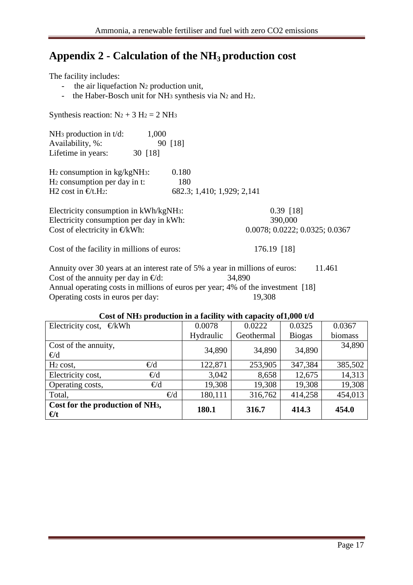## **Appendix 2 - Calculation of the NH3 production cost**

The facility includes:

- the air liquefaction N2 production unit,
- the Haber-Bosch unit for NH<sub>3</sub> synthesis via N<sub>2</sub> and H<sub>2</sub>.

Synthesis reaction:  $N_2 + 3 H_2 = 2 NH_3$ 

| NH <sub>3</sub> production in $t/d$ :<br>Availability, %:<br>Lifetime in years: | 1,000<br>30 [18] | 90 [18]      |                            |                               |  |  |
|---------------------------------------------------------------------------------|------------------|--------------|----------------------------|-------------------------------|--|--|
| $H_2$ consumption in $kg/kgNH_3$ :<br>H <sub>2</sub> consumption per day in t:  |                  | 0.180<br>180 |                            |                               |  |  |
| H <sub>2</sub> cost in $\epsilon/t$ . H <sub>2</sub> :                          |                  |              | 682.3; 1,410; 1,929; 2,141 |                               |  |  |
| Electricity consumption in kWh/kgNH <sub>3</sub> :                              |                  |              |                            | $0.39$ [18]                   |  |  |
| Electricity consumption per day in kWh:                                         |                  |              |                            | 390,000                       |  |  |
| Cost of electricity in $\epsilon/kWh$ :                                         |                  |              |                            | 0.0078; 0.0222; 00325; 0.0367 |  |  |

Cost of the facility in millions of euros: 176.19 [18]

Annuity over 30 years at an interest rate of 5% a year in millions of euros: 11.461 Cost of the annuity per day in  $\epsilon/d$ : 34,890 Annual operating costs in millions of euros per year; 4% of the investment [18] Operating costs in euros per day: 19,308

| Cost of tyms production in a facinty with capacity orrow that |              |           |            |               |         |  |
|---------------------------------------------------------------|--------------|-----------|------------|---------------|---------|--|
| Electricity cost,<br>€/kWh                                    |              | 0.0078    | 0.0222     | 0.0325        | 0.0367  |  |
|                                                               |              | Hydraulic | Geothermal | <b>Biogas</b> | biomass |  |
| Cost of the annuity,<br>$\in$ /d                              |              | 34,890    | 34,890     | 34,890        | 34,890  |  |
| $H_2 \cos t$ ,                                                | $\in$ /d     | 122,871   | 253,905    | 347,384       | 385,502 |  |
| Electricity cost,                                             | $\in$ /d     | 3,042     | 8,658      | 12,675        | 14,313  |  |
| Operating costs,                                              | $\in$ /d     | 19,308    | 19,308     | 19,308        | 19,308  |  |
| Total,                                                        | $\epsilon/d$ | 180,111   | 316,762    | 414,258       | 454,013 |  |
| Cost for the production of NH <sub>3</sub> ,<br>$\epsilon/t$  |              | 180.1     | 316.7      | 414.3         | 454.0   |  |

### **Cost of NH3 production in a facility with capacity of1,000 t/d**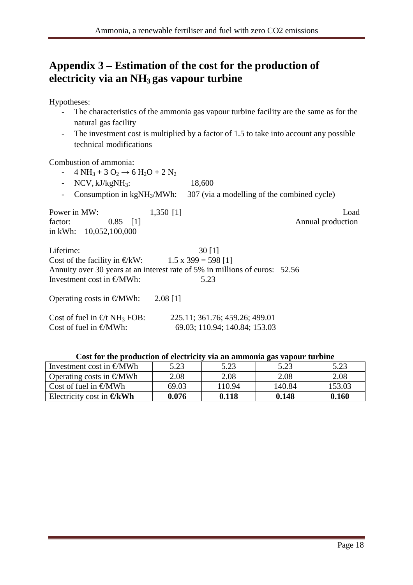## **Appendix 3 – Estimation of the cost for the production of electricity via an NH3 gas vapour turbine**

Hypotheses:

- The characteristics of the ammonia gas vapour turbine facility are the same as for the natural gas facility
- The investment cost is multiplied by a factor of 1.5 to take into account any possible technical modifications

Combustion of ammonia:

- 4 NH<sub>3</sub> + 3 O<sub>2</sub>  $\rightarrow$  6 H<sub>2</sub>O + 2 N<sub>2</sub>
- NCV, kJ/kgNH<sub>3</sub>: 18,600
- Consumption in kgNH<sub>3</sub>/MWh:  $307$  (via a modelling of the combined cycle)

| Power in MW: |                          | $1,350$ [1] | Load              |
|--------------|--------------------------|-------------|-------------------|
| factor:      | $0.85$ [1]               |             | Annual production |
|              | in kWh: $10,052,100,000$ |             |                   |

| Lifetime:                                                  | 30[1]                                                                       |  |
|------------------------------------------------------------|-----------------------------------------------------------------------------|--|
| Cost of the facility in $\epsilon/kW$ : 1.5 x 399= 598 [1] |                                                                             |  |
|                                                            | Annuity over 30 years at an interest rate of 5% in millions of euros: 52.56 |  |
| Investment cost in $\epsilon/MWh$ :                        | 5.23                                                                        |  |
| Operating costs in $\epsilon/MWh$ : 2.08 [1]               |                                                                             |  |
| Cost of fuel in $f{F}$ NH FOR                              | $225$ 11: 361 76: 459 26: 499 01                                            |  |

| Cost of fuel in $\epsilon/t$ NH FOB: | 225.11; 361.76; 459.26; 499.01 |
|--------------------------------------|--------------------------------|
| Cost of fuel in $\epsilon$ /MWh:     | 69.03;110.94; 140.84; 153.03   |

#### **Cost for the production of electricity via an ammonia gas vapour turbine**

| Investment cost in $\epsilon/MWh$  | 5.23  | 5.23   | 5.23   | 5.23   |
|------------------------------------|-------|--------|--------|--------|
| Operating costs in $\epsilon$ /MWh | 2.08  | 2.08   | 2.08   | 2.08   |
| Cost of fuel in $\epsilon/MWh$     | 69.03 | 110.94 | 140.84 | 153.03 |
| Electricity cost in $\epsilon/kWt$ | 0.076 | 0.118  | 0.148  | 0.160  |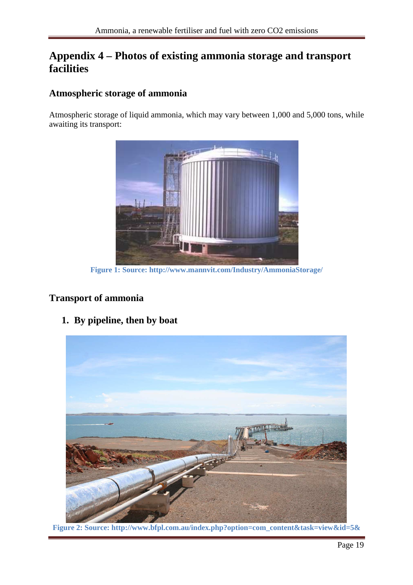## **Appendix 4 – Photos of existing ammonia storage and transport facilities**

### **Atmospheric storage of ammonia**

Atmospheric storage of liquid ammonia, which may vary between 1,000 and 5,000 tons, while awaiting its transport:



**Figure 1: Source: http://www.mannvit.com/Industry/AmmoniaStorage/**

### **Transport of ammonia**

**1. By pipeline, then by boat** 

**Figure 2: Source: http://www.bfpl.com.au/index.php?option=com\_content&task=view&id=5&**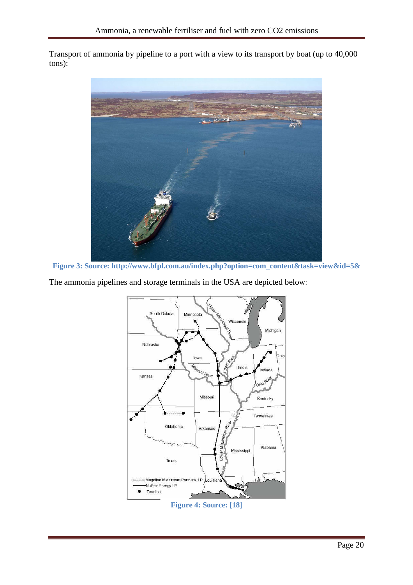Transport of ammonia by pipeline to a port with a view to its transport by boat (up to 40,000 tons):



**Figure 3: Source: http://www.bfpl.com.au/index.php?option=com\_content&task=view&id=5&** 

The ammonia pipelines and storage terminals in the USA are depicted below:



**Figure 4: Source: [18]**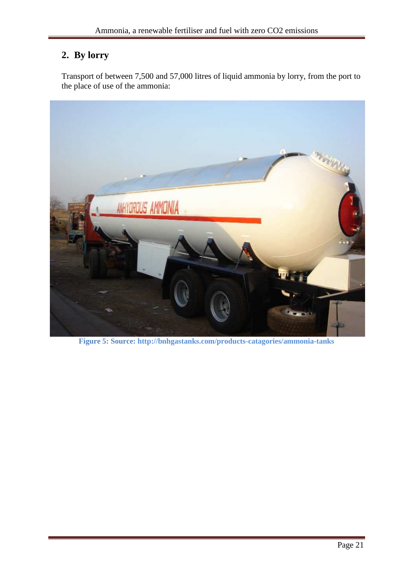## **2. By lorry**

Transport of between 7,500 and 57,000 litres of liquid ammonia by lorry, from the port to the place of use of the ammonia:



**Figure 5: Source: http://bnhgastanks.com/products-catagories/ammonia-tanks**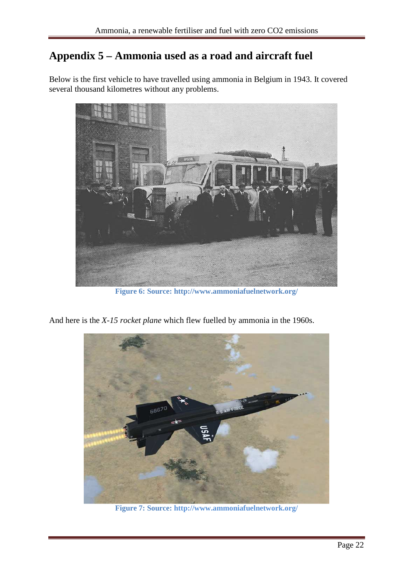## **Appendix 5 – Ammonia used as a road and aircraft fuel**

Below is the first vehicle to have travelled using ammonia in Belgium in 1943. It covered several thousand kilometres without any problems.



**Figure 6: Source: http://www.ammoniafuelnetwork.org/**

And here is the *X-15 rocket plane* which flew fuelled by ammonia in the 1960s.



**Figure 7: Source: http://www.ammoniafuelnetwork.org/**